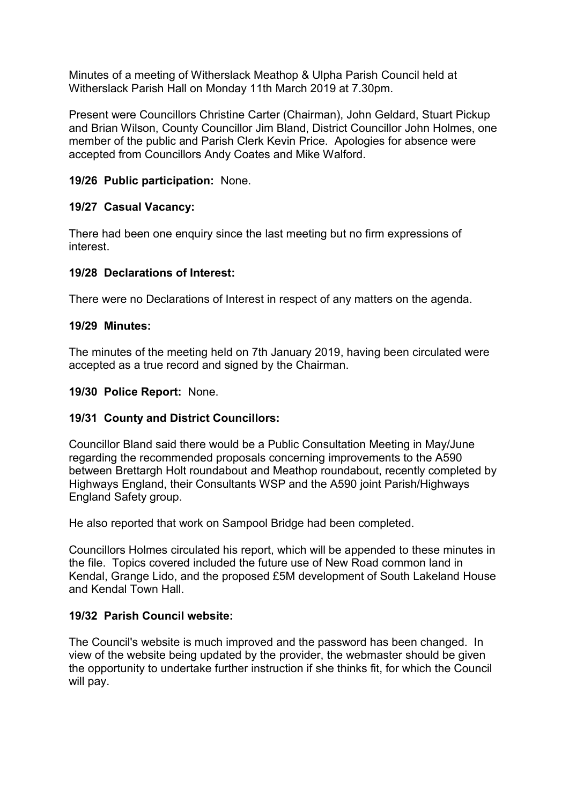Minutes of a meeting of Witherslack Meathop & Ulpha Parish Council held at Witherslack Parish Hall on Monday 11th March 2019 at 7.30pm.

Present were Councillors Christine Carter (Chairman), John Geldard, Stuart Pickup and Brian Wilson, County Councillor Jim Bland, District Councillor John Holmes, one member of the public and Parish Clerk Kevin Price. Apologies for absence were accepted from Councillors Andy Coates and Mike Walford.

## 19/26 Public participation: None.

### 19/27 Casual Vacancy:

There had been one enquiry since the last meeting but no firm expressions of interest.

### 19/28 Declarations of Interest:

There were no Declarations of Interest in respect of any matters on the agenda.

### 19/29 Minutes:

The minutes of the meeting held on 7th January 2019, having been circulated were accepted as a true record and signed by the Chairman.

#### 19/30 Police Report: None.

#### 19/31 County and District Councillors:

Councillor Bland said there would be a Public Consultation Meeting in May/June regarding the recommended proposals concerning improvements to the A590 between Brettargh Holt roundabout and Meathop roundabout, recently completed by Highways England, their Consultants WSP and the A590 joint Parish/Highways England Safety group.

He also reported that work on Sampool Bridge had been completed.

Councillors Holmes circulated his report, which will be appended to these minutes in the file. Topics covered included the future use of New Road common land in Kendal, Grange Lido, and the proposed £5M development of South Lakeland House and Kendal Town Hall.

# 19/32 Parish Council website:

The Council's website is much improved and the password has been changed. In view of the website being updated by the provider, the webmaster should be given the opportunity to undertake further instruction if she thinks fit, for which the Council will pay.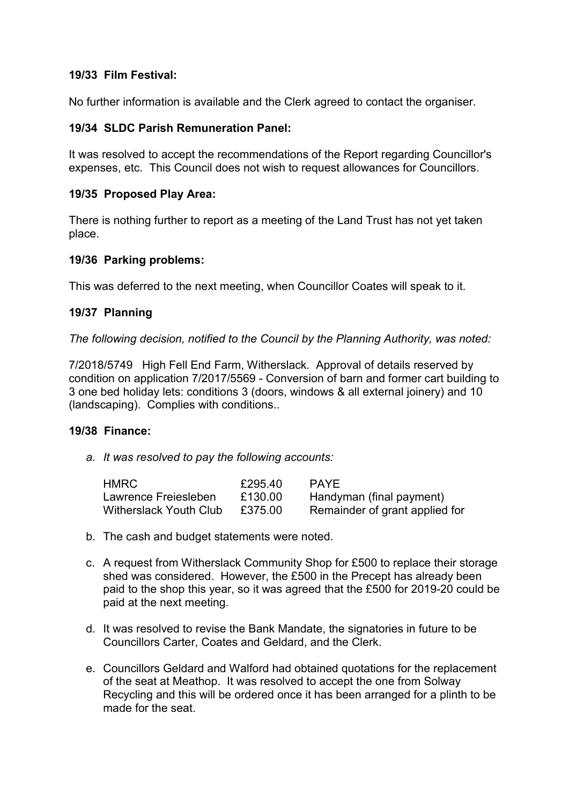### 19/33 Film Festival:

No further information is available and the Clerk agreed to contact the organiser.

### 19/34 SLDC Parish Remuneration Panel:

It was resolved to accept the recommendations of the Report regarding Councillor's expenses, etc. This Council does not wish to request allowances for Councillors.

### 19/35 Proposed Play Area:

There is nothing further to report as a meeting of the Land Trust has not yet taken place.

#### 19/36 Parking problems:

This was deferred to the next meeting, when Councillor Coates will speak to it.

### 19/37 Planning

*The following decision, notified to the Council by the Planning Authority, was noted:*

7/2018/5749 High Fell End Farm, Witherslack. Approval of details reserved by condition on application 7/2017/5569 - Conversion of barn and former cart building to 3 one bed holiday lets: conditions 3 (doors, windows & all external joinery) and 10 (landscaping). Complies with conditions..

#### 19/38 Finance:

*a. It was resolved to pay the following accounts:*

| HMRC                          | £295.40 | <b>PAYE</b>                    |
|-------------------------------|---------|--------------------------------|
| Lawrence Freiesleben          | £130.00 | Handyman (final payment)       |
| <b>Witherslack Youth Club</b> | £375.00 | Remainder of grant applied for |

- b. The cash and budget statements were noted.
- c. A request from Witherslack Community Shop for £500 to replace their storage shed was considered. However, the £500 in the Precept has already been paid to the shop this year, so it was agreed that the £500 for 2019-20 could be paid at the next meeting.
- d. It was resolved to revise the Bank Mandate, the signatories in future to be Councillors Carter, Coates and Geldard, and the Clerk.
- e. Councillors Geldard and Walford had obtained quotations for the replacement of the seat at Meathop. It was resolved to accept the one from Solway Recycling and this will be ordered once it has been arranged for a plinth to be made for the seat.